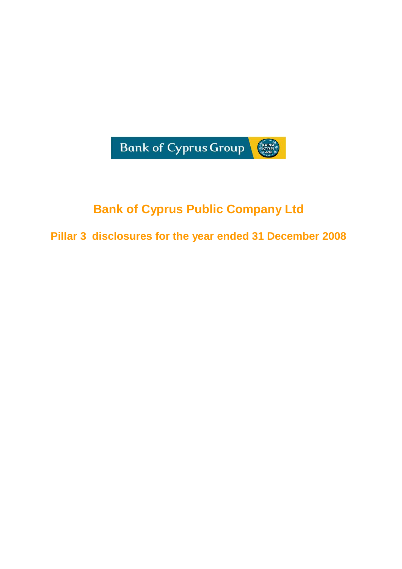

# **Bank of Cyprus Public Company Ltd**

**Pillar 3 disclosures for the year ended 31 December 2008**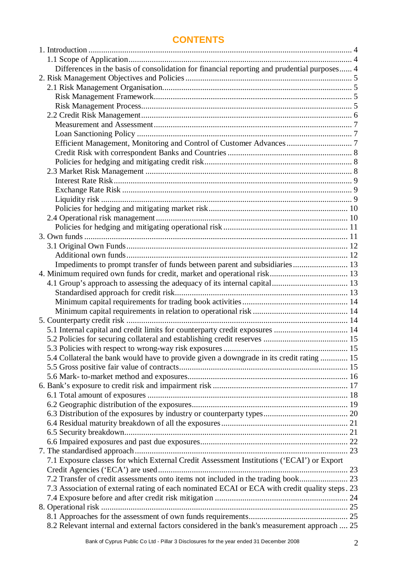## **CONTENTS**

| Differences in the basis of consolidation for financial reporting and prudential purposes 4    |  |
|------------------------------------------------------------------------------------------------|--|
|                                                                                                |  |
|                                                                                                |  |
|                                                                                                |  |
|                                                                                                |  |
|                                                                                                |  |
|                                                                                                |  |
|                                                                                                |  |
|                                                                                                |  |
|                                                                                                |  |
|                                                                                                |  |
|                                                                                                |  |
|                                                                                                |  |
|                                                                                                |  |
|                                                                                                |  |
|                                                                                                |  |
|                                                                                                |  |
|                                                                                                |  |
|                                                                                                |  |
|                                                                                                |  |
|                                                                                                |  |
| Impediments to prompt transfer of funds between parent and subsidiaries 13                     |  |
|                                                                                                |  |
|                                                                                                |  |
|                                                                                                |  |
|                                                                                                |  |
|                                                                                                |  |
|                                                                                                |  |
| 5.1 Internal capital and credit limits for counterparty credit exposures  14                   |  |
|                                                                                                |  |
|                                                                                                |  |
| 5.4 Collateral the bank would have to provide given a downgrade in its credit rating  15       |  |
|                                                                                                |  |
|                                                                                                |  |
|                                                                                                |  |
|                                                                                                |  |
|                                                                                                |  |
|                                                                                                |  |
|                                                                                                |  |
|                                                                                                |  |
|                                                                                                |  |
|                                                                                                |  |
| 7.1 Exposure classes for which External Credit Assessment Institutions ('ECAI') or Export      |  |
|                                                                                                |  |
|                                                                                                |  |
| 7.3 Association of external rating of each nominated ECAI or ECA with credit quality steps. 23 |  |
|                                                                                                |  |
|                                                                                                |  |
|                                                                                                |  |
| 8.2 Relevant internal and external factors considered in the bank's measurement approach  25   |  |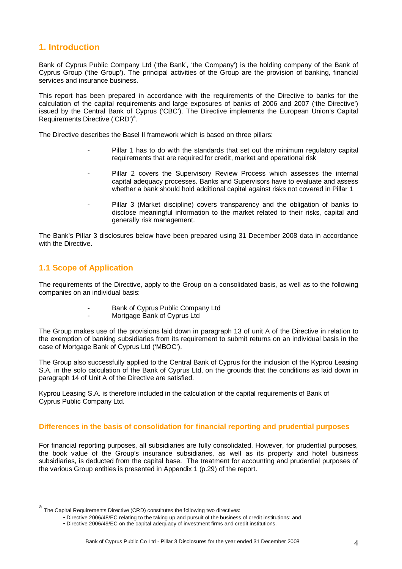## **1. Introduction**

Bank of Cyprus Public Company Ltd ('the Bank', 'the Company') is the holding company of the Bank of Cyprus Group ('the Group'). The principal activities of the Group are the provision of banking, financial services and insurance business.

This report has been prepared in accordance with the requirements of the Directive to banks for the calculation of the capital requirements and large exposures of banks of 2006 and 2007 ('the Directive') issued by the Central Bank of Cyprus ('CBC'). The Directive implements the European Union's Capital Requirements Directive ('CRD')<sup>a</sup>.

The Directive describes the Basel II framework which is based on three pillars:

- Pillar 1 has to do with the standards that set out the minimum regulatory capital requirements that are required for credit, market and operational risk
- Pillar 2 covers the Supervisory Review Process which assesses the internal capital adequacy processes. Banks and Supervisors have to evaluate and assess whether a bank should hold additional capital against risks not covered in Pillar 1
- Pillar 3 (Market discipline) covers transparency and the obligation of banks to disclose meaningful information to the market related to their risks, capital and generally risk management.

The Bank's Pillar 3 disclosures below have been prepared using 31 December 2008 data in accordance with the Directive.

## **1.1 Scope of Application**

 $\overline{a}$ 

The requirements of the Directive, apply to the Group on a consolidated basis, as well as to the following companies on an individual basis:

- Bank of Cyprus Public Company Ltd
- Mortgage Bank of Cyprus Ltd

The Group makes use of the provisions laid down in paragraph 13 of unit A of the Directive in relation to the exemption of banking subsidiaries from its requirement to submit returns on an individual basis in the case of Mortgage Bank of Cyprus Ltd ('MBOC').

The Group also successfully applied to the Central Bank of Cyprus for the inclusion of the Kyprou Leasing S.A. in the solo calculation of the Bank of Cyprus Ltd, on the grounds that the conditions as laid down in paragraph 14 of Unit A of the Directive are satisfied.

Kyprou Leasing S.A. is therefore included in the calculation of the capital requirements of Bank of Cyprus Public Company Ltd.

## **Differences in the basis of consolidation for financial reporting and prudential purposes**

For financial reporting purposes, all subsidiaries are fully consolidated. However, for prudential purposes, the book value of the Group's insurance subsidiaries, as well as its property and hotel business subsidiaries, is deducted from the capital base. The treatment for accounting and prudential purposes of the various Group entities is presented in Appendix 1 (p.29) of the report.

a<br>The Capital Requirements Directive (CRD) constitutes the following two directives:

<sup>•</sup> Directive 2006/48/EC relating to the taking up and pursuit of the business of credit institutions; and

<sup>•</sup> Directive 2006/49/EC on the capital adequacy of investment firms and credit institutions.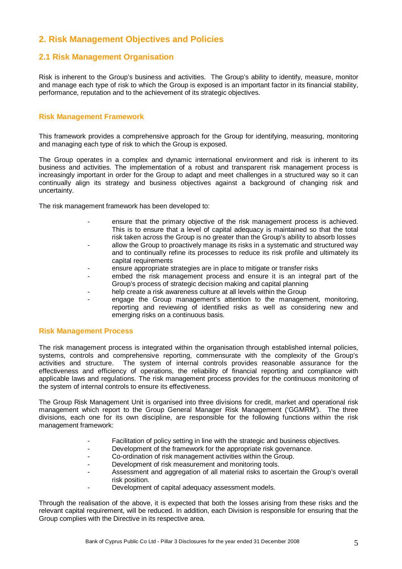## **2. Risk Management Objectives and Policies**

## **2.1 Risk Management Organisation**

Risk is inherent to the Group's business and activities. The Group's ability to identify, measure, monitor and manage each type of risk to which the Group is exposed is an important factor in its financial stability, performance, reputation and to the achievement of its strategic objectives.

### **Risk Management Framework**

This framework provides a comprehensive approach for the Group for identifying, measuring, monitoring and managing each type of risk to which the Group is exposed.

The Group operates in a complex and dynamic international environment and risk is inherent to its business and activities. The implementation of a robust and transparent risk management process is increasingly important in order for the Group to adapt and meet challenges in a structured way so it can continually align its strategy and business objectives against a background of changing risk and uncertainty.

The risk management framework has been developed to:

- ensure that the primary objective of the risk management process is achieved. This is to ensure that a level of capital adequacy is maintained so that the total risk taken across the Group is no greater than the Group's ability to absorb losses
- allow the Group to proactively manage its risks in a systematic and structured way and to continually refine its processes to reduce its risk profile and ultimately its capital requirements
- ensure appropriate strategies are in place to mitigate or transfer risks
- embed the risk management process and ensure it is an integral part of the Group's process of strategic decision making and capital planning
- help create a risk awareness culture at all levels within the Group
- engage the Group management's attention to the management, monitoring, reporting and reviewing of identified risks as well as considering new and emerging risks on a continuous basis.

#### **Risk Management Process**

The risk management process is integrated within the organisation through established internal policies, systems, controls and comprehensive reporting, commensurate with the complexity of the Group's activities and structure. The system of internal controls provides reasonable assurance for the effectiveness and efficiency of operations, the reliability of financial reporting and compliance with applicable laws and regulations. The risk management process provides for the continuous monitoring of the system of internal controls to ensure its effectiveness.

The Group Risk Management Unit is organised into three divisions for credit, market and operational risk management which report to the Group General Manager Risk Management ('GGMRM'). The three divisions, each one for its own discipline, are responsible for the following functions within the risk management framework:

- Facilitation of policy setting in line with the strategic and business objectives.
- Development of the framework for the appropriate risk governance.
- Co-ordination of risk management activities within the Group.
- Development of risk measurement and monitoring tools.
- Assessment and aggregation of all material risks to ascertain the Group's overall risk position.
- Development of capital adequacy assessment models.

Through the realisation of the above, it is expected that both the losses arising from these risks and the relevant capital requirement, will be reduced. In addition, each Division is responsible for ensuring that the Group complies with the Directive in its respective area.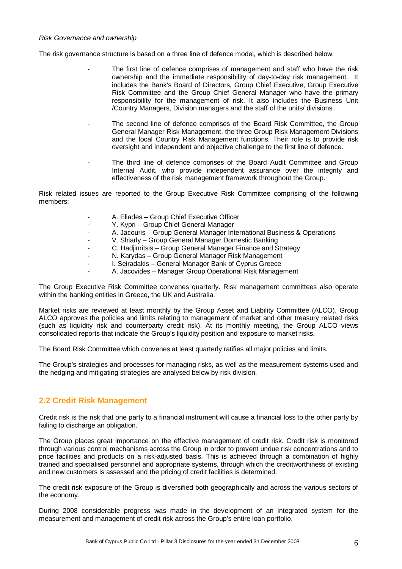The risk governance structure is based on a three line of defence model, which is described below:

- The first line of defence comprises of management and staff who have the risk ownership and the immediate responsibility of day-to-day risk management. It includes the Bank's Board of Directors, Group Chief Executive, Group Executive Risk Committee and the Group Chief General Manager who have the primary responsibility for the management of risk. It also includes the Business Unit /Country Managers, Division managers and the staff of the units/ divisions.
- The second line of defence comprises of the Board Risk Committee, the Group General Manager Risk Management, the three Group Risk Management Divisions and the local Country Risk Management functions. Their role is to provide risk oversight and independent and objective challenge to the first line of defence.
- The third line of defence comprises of the Board Audit Committee and Group Internal Audit, who provide independent assurance over the integrity and effectiveness of the risk management framework throughout the Group.

Risk related issues are reported to the Group Executive Risk Committee comprising of the following members:

- A. Eliades Group Chief Executive Officer
- Y. Kypri Group Chief General Manager
	- A. Jacouris Group General Manager International Business & Operations
- V. Shiarly Group General Manager Domestic Banking
- C. Hadjimitsis Group General Manager Finance and Strategy
	- N. Karydas Group General Manager Risk Management
	- I. Seiradakis General Manager Bank of Cyprus Greece
	- A. Jacovides Manager Group Operational Risk Management

The Group Executive Risk Committee convenes quarterly. Risk management committees also operate within the banking entities in Greece, the UK and Australia.

Market risks are reviewed at least monthly by the Group Asset and Liability Committee (ALCO). Group ALCO approves the policies and limits relating to management of market and other treasury related risks (such as liquidity risk and counterparty credit risk). At its monthly meeting, the Group ALCO views consolidated reports that indicate the Group's liquidity position and exposure to market risks.

The Board Risk Committee which convenes at least quarterly ratifies all major policies and limits.

The Group's strategies and processes for managing risks, as well as the measurement systems used and the hedging and mitigating strategies are analysed below by risk division.

## **2.2 Credit Risk Management**

Credit risk is the risk that one party to a financial instrument will cause a financial loss to the other party by failing to discharge an obligation.

The Group places great importance on the effective management of credit risk. Credit risk is monitored through various control mechanisms across the Group in order to prevent undue risk concentrations and to price facilities and products on a risk-adjusted basis. This is achieved through a combination of highly trained and specialised personnel and appropriate systems, through which the creditworthiness of existing and new customers is assessed and the pricing of credit facilities is determined.

The credit risk exposure of the Group is diversified both geographically and across the various sectors of the economy.

During 2008 considerable progress was made in the development of an integrated system for the measurement and management of credit risk across the Group's entire loan portfolio.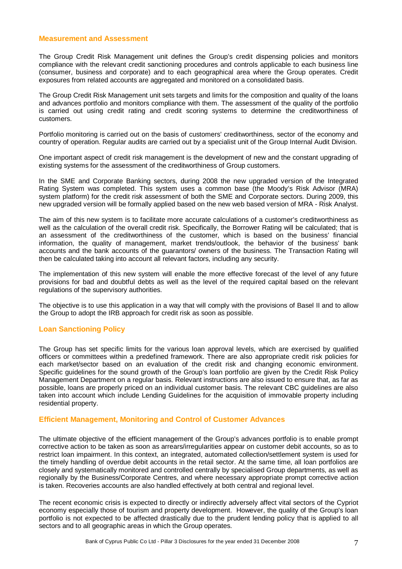#### **Measurement and Assessment**

The Group Credit Risk Management unit defines the Group's credit dispensing policies and monitors compliance with the relevant credit sanctioning procedures and controls applicable to each business line (consumer, business and corporate) and to each geographical area where the Group operates. Credit exposures from related accounts are aggregated and monitored on a consolidated basis.

The Group Credit Risk Management unit sets targets and limits for the composition and quality of the loans and advances portfolio and monitors compliance with them. The assessment of the quality of the portfolio is carried out using credit rating and credit scoring systems to determine the creditworthiness of customers.

Portfolio monitoring is carried out on the basis of customers' creditworthiness, sector of the economy and country of operation. Regular audits are carried out by a specialist unit of the Group Internal Audit Division.

One important aspect of credit risk management is the development of new and the constant upgrading of existing systems for the assessment of the creditworthiness of Group customers.

In the SME and Corporate Banking sectors, during 2008 the new upgraded version of the Integrated Rating System was completed. This system uses a common base (the Moody's Risk Advisor (MRA) system platform) for the credit risk assessment of both the SME and Corporate sectors. During 2009, this new upgraded version will be formally applied based on the new web based version of MRA - Risk Analyst.

The aim of this new system is to facilitate more accurate calculations of a customer's creditworthiness as well as the calculation of the overall credit risk. Specifically, the Borrower Rating will be calculated; that is an assessment of the creditworthiness of the customer, which is based on the business' financial information, the quality of management, market trends/outlook, the behavior of the business' bank accounts and the bank accounts of the guarantors/ owners of the business. The Transaction Rating will then be calculated taking into account all relevant factors, including any security.

The implementation of this new system will enable the more effective forecast of the level of any future provisions for bad and doubtful debts as well as the level of the required capital based on the relevant regulations of the supervisory authorities.

The objective is to use this application in a way that will comply with the provisions of Basel II and to allow the Group to adopt the IRB approach for credit risk as soon as possible.

#### **Loan Sanctioning Policy**

The Group has set specific limits for the various loan approval levels, which are exercised by qualified officers or committees within a predefined framework. There are also appropriate credit risk policies for each market/sector based on an evaluation of the credit risk and changing economic environment. Specific guidelines for the sound growth of the Group's loan portfolio are given by the Credit Risk Policy Management Department on a regular basis. Relevant instructions are also issued to ensure that, as far as possible, loans are properly priced on an individual customer basis. The relevant CBC guidelines are also taken into account which include Lending Guidelines for the acquisition of immovable property including residential property.

#### **Efficient Management, Monitoring and Control of Customer Advances**

The ultimate objective of the efficient management of the Group's advances portfolio is to enable prompt corrective action to be taken as soon as arrears/irregularities appear on customer debit accounts, so as to restrict loan impairment. In this context, an integrated, automated collection/settlement system is used for the timely handling of overdue debit accounts in the retail sector. At the same time, all loan portfolios are closely and systematically monitored and controlled centrally by specialised Group departments, as well as regionally by the Business/Corporate Centres, and where necessary appropriate prompt corrective action is taken. Recoveries accounts are also handled effectively at both central and regional level.

The recent economic crisis is expected to directly or indirectly adversely affect vital sectors of the Cypriot economy especially those of tourism and property development. However, the quality of the Group's loan portfolio is not expected to be affected drastically due to the prudent lending policy that is applied to all sectors and to all geographic areas in which the Group operates.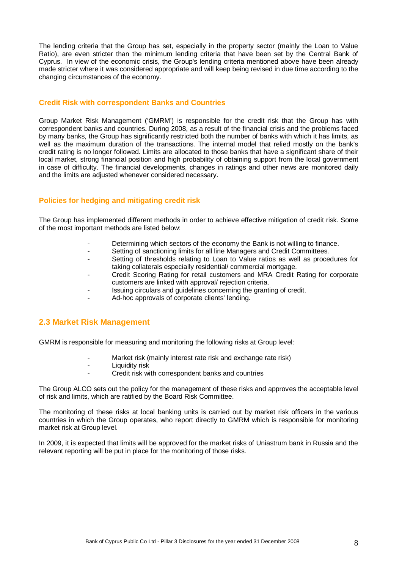The lending criteria that the Group has set, especially in the property sector (mainly the Loan to Value Ratio), are even stricter than the minimum lending criteria that have been set by the Central Bank of Cyprus. In view of the economic crisis, the Group's lending criteria mentioned above have been already made stricter where it was considered appropriate and will keep being revised in due time according to the changing circumstances of the economy.

#### **Credit Risk with correspondent Banks and Countries**

Group Market Risk Management ('GMRM') is responsible for the credit risk that the Group has with correspondent banks and countries. During 2008, as a result of the financial crisis and the problems faced by many banks, the Group has significantly restricted both the number of banks with which it has limits, as well as the maximum duration of the transactions. The internal model that relied mostly on the bank's credit rating is no longer followed. Limits are allocated to those banks that have a significant share of their local market, strong financial position and high probability of obtaining support from the local government in case of difficulty. The financial developments, changes in ratings and other news are monitored daily and the limits are adjusted whenever considered necessary.

#### **Policies for hedging and mitigating credit risk**

The Group has implemented different methods in order to achieve effective mitigation of credit risk. Some of the most important methods are listed below:

- Determining which sectors of the economy the Bank is not willing to finance.
- Setting of sanctioning limits for all line Managers and Credit Committees.
- Setting of thresholds relating to Loan to Value ratios as well as procedures for taking collaterals especially residential/ commercial mortgage.
- Credit Scoring Rating for retail customers and MRA Credit Rating for corporate customers are linked with approval/ rejection criteria.
- Issuing circulars and guidelines concerning the granting of credit.
- Ad-hoc approvals of corporate clients' lending.

#### **2.3 Market Risk Management**

GMRM is responsible for measuring and monitoring the following risks at Group level:

- Market risk (mainly interest rate risk and exchange rate risk)
- Liquidity risk
	- Credit risk with correspondent banks and countries

The Group ALCO sets out the policy for the management of these risks and approves the acceptable level of risk and limits, which are ratified by the Board Risk Committee.

The monitoring of these risks at local banking units is carried out by market risk officers in the various countries in which the Group operates, who report directly to GMRM which is responsible for monitoring market risk at Group level.

In 2009, it is expected that limits will be approved for the market risks of Uniastrum bank in Russia and the relevant reporting will be put in place for the monitoring of those risks.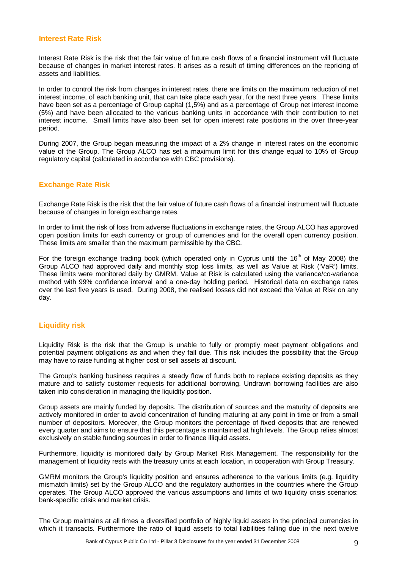#### **Interest Rate Risk**

Interest Rate Risk is the risk that the fair value of future cash flows of a financial instrument will fluctuate because of changes in market interest rates. It arises as a result of timing differences on the repricing of assets and liabilities.

In order to control the risk from changes in interest rates, there are limits on the maximum reduction of net interest income, of each banking unit, that can take place each year, for the next three years. These limits have been set as a percentage of Group capital (1,5%) and as a percentage of Group net interest income (5%) and have been allocated to the various banking units in accordance with their contribution to net interest income. Small limits have also been set for open interest rate positions in the over three-year period.

During 2007, the Group began measuring the impact of a 2% change in interest rates on the economic value of the Group. The Group ALCO has set a maximum limit for this change equal to 10% of Group regulatory capital (calculated in accordance with CBC provisions).

## **Exchange Rate Risk**

Exchange Rate Risk is the risk that the fair value of future cash flows of a financial instrument will fluctuate because of changes in foreign exchange rates.

In order to limit the risk of loss from adverse fluctuations in exchange rates, the Group ALCO has approved open position limits for each currency or group of currencies and for the overall open currency position. These limits are smaller than the maximum permissible by the CBC.

For the foreign exchange trading book (which operated only in Cyprus until the  $16<sup>th</sup>$  of May 2008) the Group ALCO had approved daily and monthly stop loss limits, as well as Value at Risk ('VaR') limits. These limits were monitored daily by GMRM. Value at Risk is calculated using the variance/co-variance method with 99% confidence interval and a one-day holding period. Historical data on exchange rates over the last five years is used. During 2008, the realised losses did not exceed the Value at Risk on any day.

## **Liquidity risk**

Liquidity Risk is the risk that the Group is unable to fully or promptly meet payment obligations and potential payment obligations as and when they fall due. This risk includes the possibility that the Group may have to raise funding at higher cost or sell assets at discount.

The Group's banking business requires a steady flow of funds both to replace existing deposits as they mature and to satisfy customer requests for additional borrowing. Undrawn borrowing facilities are also taken into consideration in managing the liquidity position.

Group assets are mainly funded by deposits. The distribution of sources and the maturity of deposits are actively monitored in order to avoid concentration of funding maturing at any point in time or from a small number of depositors. Moreover, the Group monitors the percentage of fixed deposits that are renewed every quarter and aims to ensure that this percentage is maintained at high levels. The Group relies almost exclusively on stable funding sources in order to finance illiquid assets.

Furthermore, liquidity is monitored daily by Group Market Risk Management. The responsibility for the management of liquidity rests with the treasury units at each location, in cooperation with Group Treasury.

GMRM monitors the Group's liquidity position and ensures adherence to the various limits (e.g. liquidity mismatch limits) set by the Group ALCO and the regulatory authorities in the countries where the Group operates. The Group ALCO approved the various assumptions and limits of two liquidity crisis scenarios: bank-specific crisis and market crisis.

The Group maintains at all times a diversified portfolio of highly liquid assets in the principal currencies in which it transacts. Furthermore the ratio of liquid assets to total liabilities falling due in the next twelve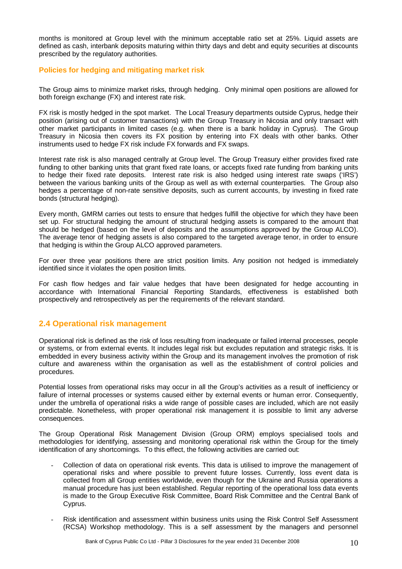months is monitored at Group level with the minimum acceptable ratio set at 25%. Liquid assets are defined as cash, interbank deposits maturing within thirty days and debt and equity securities at discounts prescribed by the regulatory authorities.

## **Policies for hedging and mitigating market risk**

The Group aims to minimize market risks, through hedging. Only minimal open positions are allowed for both foreign exchange (FX) and interest rate risk.

FX risk is mostly hedged in the spot market. The Local Treasury departments outside Cyprus, hedge their position (arising out of customer transactions) with the Group Treasury in Nicosia and only transact with other market participants in limited cases (e.g. when there is a bank holiday in Cyprus). The Group Treasury in Nicosia then covers its FX position by entering into FX deals with other banks. Other instruments used to hedge FX risk include FX forwards and FX swaps.

Interest rate risk is also managed centrally at Group level. The Group Treasury either provides fixed rate funding to other banking units that grant fixed rate loans, or accepts fixed rate funding from banking units to hedge their fixed rate deposits. Interest rate risk is also hedged using interest rate swaps ('IRS') between the various banking units of the Group as well as with external counterparties. The Group also hedges a percentage of non-rate sensitive deposits, such as current accounts, by investing in fixed rate bonds (structural hedging).

Every month, GMRM carries out tests to ensure that hedges fulfill the objective for which they have been set up. For structural hedging the amount of structural hedging assets is compared to the amount that should be hedged (based on the level of deposits and the assumptions approved by the Group ALCO). The average tenor of hedging assets is also compared to the targeted average tenor, in order to ensure that hedging is within the Group ALCO approved parameters.

For over three year positions there are strict position limits. Any position not hedged is immediately identified since it violates the open position limits.

For cash flow hedges and fair value hedges that have been designated for hedge accounting in accordance with International Financial Reporting Standards, effectiveness is established both prospectively and retrospectively as per the requirements of the relevant standard.

## **2.4 Operational risk management**

Operational risk is defined as the risk of loss resulting from inadequate or failed internal processes, people or systems, or from external events. It includes legal risk but excludes reputation and strategic risks. It is embedded in every business activity within the Group and its management involves the promotion of risk culture and awareness within the organisation as well as the establishment of control policies and procedures.

Potential losses from operational risks may occur in all the Group's activities as a result of inefficiency or failure of internal processes or systems caused either by external events or human error. Consequently, under the umbrella of operational risks a wide range of possible cases are included, which are not easily predictable. Nonetheless, with proper operational risk management it is possible to limit any adverse consequences.

The Group Operational Risk Management Division (Group ORM) employs specialised tools and methodologies for identifying, assessing and monitoring operational risk within the Group for the timely identification of any shortcomings. To this effect, the following activities are carried out:

- Collection of data on operational risk events. This data is utilised to improve the management of operational risks and where possible to prevent future losses. Currently, loss event data is collected from all Group entities worldwide, even though for the Ukraine and Russia operations a manual procedure has just been established. Regular reporting of the operational loss data events is made to the Group Executive Risk Committee, Board Risk Committee and the Central Bank of Cyprus.
- Risk identification and assessment within business units using the Risk Control Self Assessment (RCSA) Workshop methodology. This is a self assessment by the managers and personnel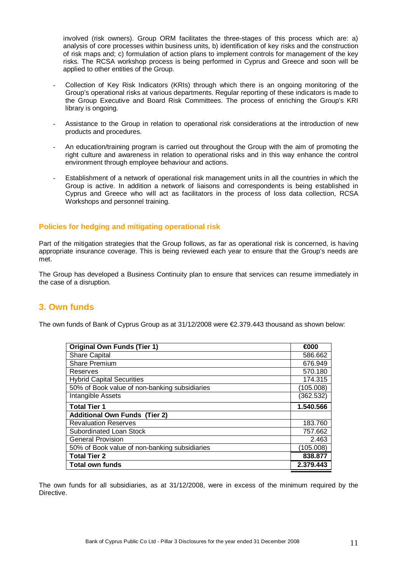involved (risk owners). Group ORM facilitates the three-stages of this process which are: a) analysis of core processes within business units, b) identification of key risks and the construction of risk maps and; c) formulation of action plans to implement controls for management of the key risks. The RCSA workshop process is being performed in Cyprus and Greece and soon will be applied to other entities of the Group.

- Collection of Key Risk Indicators (KRIs) through which there is an ongoing monitoring of the Group's operational risks at various departments. Regular reporting of these indicators is made to the Group Executive and Board Risk Committees. The process of enriching the Group's KRI library is ongoing.
- Assistance to the Group in relation to operational risk considerations at the introduction of new products and procedures.
- An education/training program is carried out throughout the Group with the aim of promoting the right culture and awareness in relation to operational risks and in this way enhance the control environment through employee behaviour and actions.
- Establishment of a network of operational risk management units in all the countries in which the Group is active. In addition a network of liaisons and correspondents is being established in Cyprus and Greece who will act as facilitators in the process of loss data collection, RCSA Workshops and personnel training.

## **Policies for hedging and mitigating operational risk**

Part of the mitigation strategies that the Group follows, as far as operational risk is concerned, is having appropriate insurance coverage. This is being reviewed each year to ensure that the Group's needs are met.

The Group has developed a Business Continuity plan to ensure that services can resume immediately in the case of a disruption.

## **3. Own funds**

The own funds of Bank of Cyprus Group as at 31/12/2008 were €2.379.443 thousand as shown below:

| <b>Original Own Funds (Tier 1)</b>            | €000      |
|-----------------------------------------------|-----------|
| <b>Share Capital</b>                          | 586.662   |
| <b>Share Premium</b>                          | 676.949   |
| Reserves                                      | 570.180   |
| <b>Hybrid Capital Securities</b>              | 174.315   |
| 50% of Book value of non-banking subsidiaries | (105.008) |
| Intangible Assets                             | (362.532) |
| <b>Total Tier 1</b>                           | 1.540.566 |
| <b>Additional Own Funds (Tier 2)</b>          |           |
| <b>Revaluation Reserves</b>                   | 183.760   |
| <b>Subordinated Loan Stock</b>                | 757.662   |
| <b>General Provision</b>                      | 2.463     |
| 50% of Book value of non-banking subsidiaries | (105.008) |
| <b>Total Tier 2</b>                           | 838.877   |
| <b>Total own funds</b>                        | 2.379.443 |

The own funds for all subsidiaries, as at 31/12/2008, were in excess of the minimum required by the Directive.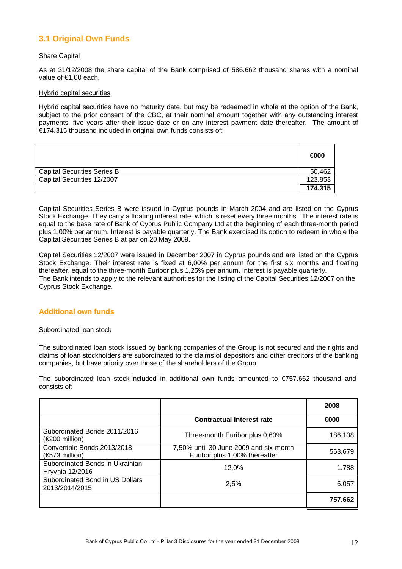## **3.1 Original Own Funds**

#### Share Capital

As at 31/12/2008 the share capital of the Bank comprised of 586.662 thousand shares with a nominal value of €1,00 each.

#### Hybrid capital securities

Hybrid capital securities have no maturity date, but may be redeemed in whole at the option of the Bank, subject to the prior consent of the CBC, at their nominal amount together with any outstanding interest payments, five years after their issue date or on any interest payment date thereafter. The amount of  $\epsilon$ 174.315 thousand included in original own funds consists of:

|                                    | €000    |
|------------------------------------|---------|
| <b>Capital Securities Series B</b> | 50.462  |
| Capital Securities 12/2007         | 123.853 |
|                                    | 174.315 |

Capital Securities Series B were issued in Cyprus pounds in March 2004 and are listed on the Cyprus Stock Exchange. They carry a floating interest rate, which is reset every three months. The interest rate is equal to the base rate of Bank of Cyprus Public Company Ltd at the beginning of each three-month period plus 1,00% per annum. Interest is payable quarterly. The Bank exercised its option to redeem in whole the Capital Securities Series B at par on 20 May 2009.

Capital Securities 12/2007 were issued in December 2007 in Cyprus pounds and are listed on the Cyprus Stock Exchange. Their interest rate is fixed at 6,00% per annum for the first six months and floating thereafter, equal to the three-month Euribor plus 1,25% per annum. Interest is payable quarterly. The Bank intends to apply to the relevant authorities for the listing of the Capital Securities 12/2007 on the Cyprus Stock Exchange.

#### **Additional own funds**

#### Subordinated loan stock

The subordinated loan stock issued by banking companies of the Group is not secured and the rights and claims of loan stockholders are subordinated to the claims of depositors and other creditors of the banking companies, but have priority over those of the shareholders of the Group.

The subordinated loan stock included in additional own funds amounted to €757.662 thousand and consists of:

|                                                           |                                                                         | 2008    |
|-----------------------------------------------------------|-------------------------------------------------------------------------|---------|
|                                                           | <b>Contractual interest rate</b>                                        | €000    |
| Subordinated Bonds 2011/2016<br>$(\epsilon$ 200 million)  | Three-month Euribor plus 0,60%                                          | 186.138 |
| Convertible Bonds 2013/2018<br>$(\epsilon$ 573 million)   | 7,50% until 30 June 2009 and six-month<br>Euribor plus 1,00% thereafter | 563.679 |
| Subordinated Bonds in Ukrainian<br><b>Hryvnia 12/2016</b> | 12.0%                                                                   | 1.788   |
| Subordinated Bond in US Dollars<br>2013/2014/2015         | 2,5%                                                                    | 6.057   |
|                                                           |                                                                         | 757.662 |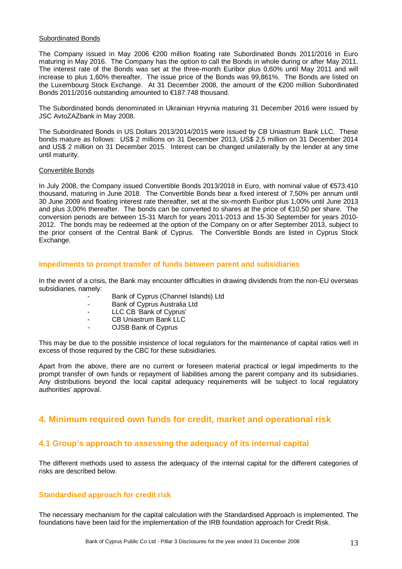#### Subordinated Bonds

The Company issued in May 2006 €200 million floating rate Subordinated Bonds 2011/2016 in Euro maturing in May 2016. The Company has the option to call the Bonds in whole during or after May 2011. The interest rate of the Bonds was set at the three-month Euribor plus 0,60% until May 2011 and will increase to plus 1,60% thereafter. The issue price of the Bonds was 99,861%. The Bonds are listed on the Luxembourg Stock Exchange. At 31 December 2008, the amount of the €200 million Subordinated Bonds 2011/2016 outstanding amounted to €187.748 thousand.

The Subordinated bonds denominated in Ukrainian Hryvnia maturing 31 December 2016 were issued by JSC AvtoZAZbank in May 2008.

The Subordinated Bonds in US Dollars 2013/2014/2015 were issued by CB Uniastrum Bank LLC. These bonds mature as follows: US\$ 2 millions on 31 December 2013, US\$ 2,5 million on 31 December 2014 and US\$ 2 million on 31 December 2015. Interest can be changed unilaterally by the lender at any time until maturity.

#### Convertible Bonds

In July 2008, the Company issued Convertible Bonds 2013/2018 in Euro, with nominal value of €573.410 thousand, maturing in June 2018. The Convertible Bonds bear a fixed interest of 7,50% per annum until 30 June 2009 and floating interest rate thereafter, set at the six-month Euribor plus 1,00% until June 2013 and plus 3,00% thereafter. The bonds can be converted to shares at the price of €10,50 per share. The conversion periods are between 15-31 March for years 2011-2013 and 15-30 September for years 2010- 2012. The bonds may be redeemed at the option of the Company on or after September 2013, subject to the prior consent of the Central Bank of Cyprus. The Convertible Bonds are listed in Cyprus Stock Exchange.

#### **Impediments to prompt transfer of funds between parent and subsidiaries**

In the event of a crisis, the Bank may encounter difficulties in drawing dividends from the non-EU overseas subsidiaries, namely:

- Bank of Cyprus (Channel Islands) Ltd
- Bank of Cyprus Australia Ltd
- LLC CB 'Bank of Cyprus'
- CB Uniastrum Bank LLC
- OJSB Bank of Cyprus

This may be due to the possible insistence of local regulators for the maintenance of capital ratios well in excess of those required by the CBC for these subsidiaries.

Apart from the above, there are no current or foreseen material practical or legal impediments to the prompt transfer of own funds or repayment of liabilities among the parent company and its subsidiaries. Any distributions beyond the local capital adequacy requirements will be subject to local regulatory authorities' approval.

## **4. Minimum required own funds for credit, market and operational risk**

## **4.1 Group's approach to assessing the adequacy of its internal capital**

The different methods used to assess the adequacy of the internal capital for the different categories of risks are described below.

#### **Standardised approach for credit risk**

The necessary mechanism for the capital calculation with the Standardised Approach is implemented. The foundations have been laid for the implementation of the IRB foundation approach for Credit Risk.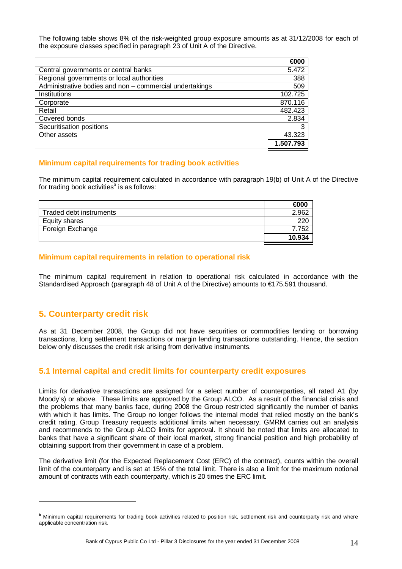The following table shows 8% of the risk-weighted group exposure amounts as at 31/12/2008 for each of the exposure classes specified in paragraph 23 of Unit A of the Directive.

|                                                         | €000      |
|---------------------------------------------------------|-----------|
| Central governments or central banks                    | 5.472     |
| Regional governments or local authorities               | 388       |
| Administrative bodies and non - commercial undertakings | 509       |
| Institutions                                            | 102.725   |
| Corporate                                               | 870.116   |
| Retail                                                  | 482.423   |
| Covered bonds                                           | 2.834     |
| Securitisation positions                                | 3         |
| Other assets                                            | 43.323    |
|                                                         | 1.507.793 |

#### **Minimum capital requirements for trading book activities**

The minimum capital requirement calculated in accordance with paragraph 19(b) of Unit A of the Directive for trading book activities<sup>b</sup> is as follows:

|                         | ∈nnr   |
|-------------------------|--------|
| Traded debt instruments | 962    |
| Equity shares           | 220    |
| Foreign Exchange        | 7.752  |
|                         | 10.934 |

#### **Minimum capital requirements in relation to operational risk**

The minimum capital requirement in relation to operational risk calculated in accordance with the Standardised Approach (paragraph 48 of Unit A of the Directive) amounts to €175.591 thousand.

## **5. Counterparty credit risk**

 $\overline{a}$ 

As at 31 December 2008, the Group did not have securities or commodities lending or borrowing transactions, long settlement transactions or margin lending transactions outstanding. Hence, the section below only discusses the credit risk arising from derivative instruments.

## **5.1 Internal capital and credit limits for counterparty credit exposures**

Limits for derivative transactions are assigned for a select number of counterparties, all rated A1 (by Moody's) or above. These limits are approved by the Group ALCO. As a result of the financial crisis and the problems that many banks face, during 2008 the Group restricted significantly the number of banks with which it has limits. The Group no longer follows the internal model that relied mostly on the bank's credit rating. Group Treasury requests additional limits when necessary. GMRM carries out an analysis and recommends to the Group ALCO limits for approval. It should be noted that limits are allocated to banks that have a significant share of their local market, strong financial position and high probability of obtaining support from their government in case of a problem.

The derivative limit (for the Expected Replacement Cost (ERC) of the contract), counts within the overall limit of the counterparty and is set at 15% of the total limit. There is also a limit for the maximum notional amount of contracts with each counterparty, which is 20 times the ERC limit.

**<sup>b</sup>** Minimum capital requirements for trading book activities related to position risk, settlement risk and counterparty risk and where applicable concentration risk.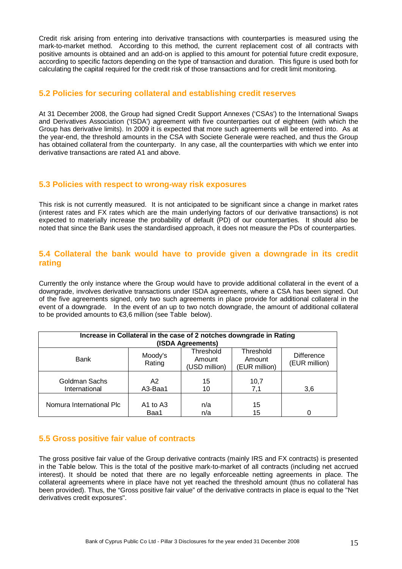Credit risk arising from entering into derivative transactions with counterparties is measured using the mark-to-market method. According to this method, the current replacement cost of all contracts with positive amounts is obtained and an add-on is applied to this amount for potential future credit exposure, according to specific factors depending on the type of transaction and duration. This figure is used both for calculating the capital required for the credit risk of those transactions and for credit limit monitoring.

## **5.2 Policies for securing collateral and establishing credit reserves**

At 31 December 2008, the Group had signed Credit Support Annexes ('CSAs') to the International Swaps and Derivatives Association ('ISDA') agreement with five counterparties out of eighteen (with which the Group has derivative limits). In 2009 it is expected that more such agreements will be entered into. As at the year-end, the threshold amounts in the CSA with Societe Generale were reached, and thus the Group has obtained collateral from the counterparty. In any case, all the counterparties with which we enter into derivative transactions are rated A1 and above.

## **5.3 Policies with respect to wrong-way risk exposures**

This risk is not currently measured. It is not anticipated to be significant since a change in market rates (interest rates and FX rates which are the main underlying factors of our derivative transactions) is not expected to materially increase the probability of default (PD) of our counterparties. It should also be noted that since the Bank uses the standardised approach, it does not measure the PDs of counterparties.

## **5.4 Collateral the bank would have to provide given a downgrade in its credit rating**

Currently the only instance where the Group would have to provide additional collateral in the event of a downgrade, involves derivative transactions under ISDA agreements, where a CSA has been signed. Out of the five agreements signed, only two such agreements in place provide for additional collateral in the event of a downgrade. In the event of an up to two notch downgrade, the amount of additional collateral to be provided amounts to €3,6 million (see Table below).

| Increase in Collateral in the case of 2 notches downgrade in Rating<br>(ISDA Agreements) |                           |                                      |                                      |                                    |  |  |  |
|------------------------------------------------------------------------------------------|---------------------------|--------------------------------------|--------------------------------------|------------------------------------|--|--|--|
| Bank                                                                                     | Moody's<br>Rating         | Threshold<br>Amount<br>(USD million) | Threshold<br>Amount<br>(EUR million) | <b>Difference</b><br>(EUR million) |  |  |  |
| Goldman Sachs<br>International                                                           | A <sub>2</sub><br>A3-Baa1 | 15<br>10                             | 10,7<br>7.1                          | 3.6                                |  |  |  |
| Nomura International Plc                                                                 | A1 to A3<br>Baa1          | n/a<br>n/a                           | 15<br>15                             |                                    |  |  |  |

## **5.5 Gross positive fair value of contracts**

The gross positive fair value of the Group derivative contracts (mainly IRS and FX contracts) is presented in the Table below. This is the total of the positive mark-to-market of all contracts (including net accrued interest). It should be noted that there are no legally enforceable netting agreements in place. The collateral agreements where in place have not yet reached the threshold amount (thus no collateral has been provided). Thus, the "Gross positive fair value" of the derivative contracts in place is equal to the "Net derivatives credit exposures".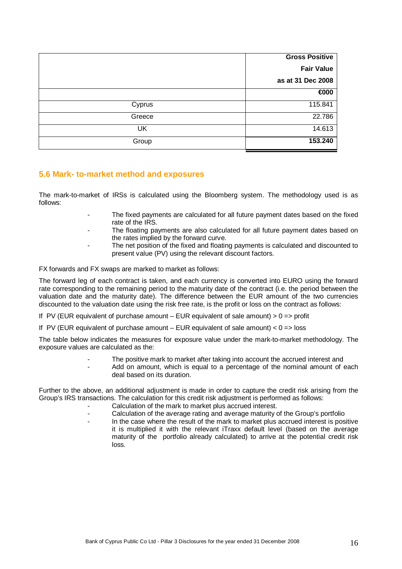|           | <b>Gross Positive</b> |
|-----------|-----------------------|
|           | <b>Fair Value</b>     |
|           | as at 31 Dec 2008     |
|           | €000                  |
| Cyprus    | 115.841               |
| Greece    | 22.786                |
| <b>UK</b> | 14.613                |
| Group     | 153.240               |

## **5.6 Mark- to-market method and exposures**

The mark-to-market of IRSs is calculated using the Bloomberg system. The methodology used is as follows:

- The fixed payments are calculated for all future payment dates based on the fixed rate of the IRS.
	- The floating payments are also calculated for all future payment dates based on the rates implied by the forward curve.
- The net position of the fixed and floating payments is calculated and discounted to present value (PV) using the relevant discount factors.

FX forwards and FX swaps are marked to market as follows:

The forward leg of each contract is taken, and each currency is converted into EURO using the forward rate corresponding to the remaining period to the maturity date of the contract (i.e. the period between the valuation date and the maturity date). The difference between the EUR amount of the two currencies discounted to the valuation date using the risk free rate, is the profit or loss on the contract as follows:

If PV (EUR equivalent of purchase amount – EUR equivalent of sale amount)  $> 0 \Rightarrow$  profit

If PV (EUR equivalent of purchase amount  $-$  EUR equivalent of sale amount)  $< 0$  = loss

The table below indicates the measures for exposure value under the mark-to-market methodology. The exposure values are calculated as the:

- The positive mark to market after taking into account the accrued interest and
- Add on amount, which is equal to a percentage of the nominal amount of each deal based on its duration.

Further to the above, an additional adjustment is made in order to capture the credit risk arising from the Group's IRS transactions. The calculation for this credit risk adjustment is performed as follows:

- Calculation of the mark to market plus accrued interest.
- Calculation of the average rating and average maturity of the Group's portfolio
- In the case where the result of the mark to market plus accrued interest is positive it is multiplied it with the relevant iTraxx default level (based on the average maturity of the portfolio already calculated) to arrive at the potential credit risk loss.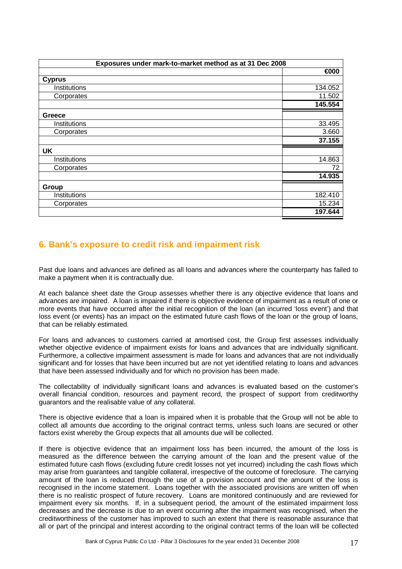| Exposures under mark-to-market method as at 31 Dec 2008 |         |  |  |
|---------------------------------------------------------|---------|--|--|
|                                                         | €000    |  |  |
| <b>Cyprus</b>                                           |         |  |  |
| Institutions                                            | 134.052 |  |  |
| Corporates                                              | 11.502  |  |  |
|                                                         | 145.554 |  |  |
| Greece                                                  |         |  |  |
| Institutions                                            | 33.495  |  |  |
| Corporates                                              | 3.660   |  |  |
|                                                         | 37.155  |  |  |
| <b>UK</b>                                               |         |  |  |
| Institutions                                            | 14.863  |  |  |
| Corporates                                              | 72      |  |  |
|                                                         | 14.935  |  |  |
| Group                                                   |         |  |  |
| Institutions                                            | 182.410 |  |  |
| Corporates                                              | 15.234  |  |  |
|                                                         | 197.644 |  |  |

## **6. Bank's exposure to credit risk and impairment risk**

Past due loans and advances are defined as all loans and advances where the counterparty has failed to make a payment when it is contractually due.

At each balance sheet date the Group assesses whether there is any objective evidence that loans and advances are impaired. A loan is impaired if there is objective evidence of impairment as a result of one or more events that have occurred after the initial recognition of the loan (an incurred 'loss event') and that loss event (or events) has an impact on the estimated future cash flows of the loan or the group of loans, that can be reliably estimated.

For loans and advances to customers carried at amortised cost, the Group first assesses individually whether objective evidence of impairment exists for loans and advances that are individually significant. Furthermore, a collective impairment assessment is made for loans and advances that are not individually significant and for losses that have been incurred but are not yet identified relating to loans and advances that have been assessed individually and for which no provision has been made.

The collectability of individually significant loans and advances is evaluated based on the customer's overall financial condition, resources and payment record, the prospect of support from creditworthy guarantors and the realisable value of any collateral.

There is objective evidence that a loan is impaired when it is probable that the Group will not be able to collect all amounts due according to the original contract terms, unless such loans are secured or other factors exist whereby the Group expects that all amounts due will be collected.

If there is objective evidence that an impairment loss has been incurred, the amount of the loss is measured as the difference between the carrying amount of the loan and the present value of the estimated future cash flows (excluding future credit losses not yet incurred) including the cash flows which may arise from guarantees and tangible collateral, irrespective of the outcome of foreclosure. The carrying amount of the loan is reduced through the use of a provision account and the amount of the loss is recognised in the income statement. Loans together with the associated provisions are written off when there is no realistic prospect of future recovery. Loans are monitored continuously and are reviewed for impairment every six months. If, in a subsequent period, the amount of the estimated impairment loss decreases and the decrease is due to an event occurring after the impairment was recognised, when the creditworthiness of the customer has improved to such an extent that there is reasonable assurance that all or part of the principal and interest according to the original contract terms of the loan will be collected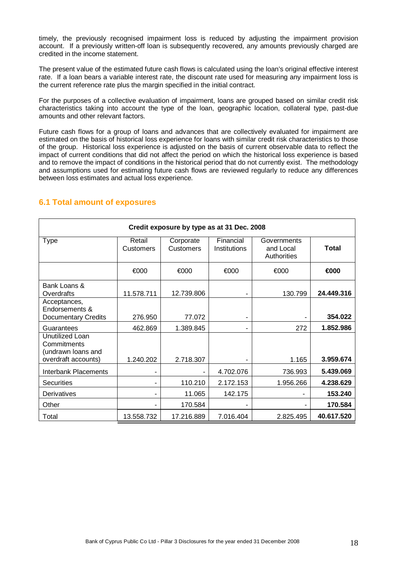timely, the previously recognised impairment loss is reduced by adjusting the impairment provision account. If a previously written-off loan is subsequently recovered, any amounts previously charged are credited in the income statement.

The present value of the estimated future cash flows is calculated using the loan's original effective interest rate. If a loan bears a variable interest rate, the discount rate used for measuring any impairment loss is the current reference rate plus the margin specified in the initial contract.

For the purposes of a collective evaluation of impairment, loans are grouped based on similar credit risk characteristics taking into account the type of the loan, geographic location, collateral type, past-due amounts and other relevant factors.

Future cash flows for a group of loans and advances that are collectively evaluated for impairment are estimated on the basis of historical loss experience for loans with similar credit risk characteristics to those of the group. Historical loss experience is adjusted on the basis of current observable data to reflect the impact of current conditions that did not affect the period on which the historical loss experience is based and to remove the impact of conditions in the historical period that do not currently exist. The methodology and assumptions used for estimating future cash flows are reviewed regularly to reduce any differences between loss estimates and actual loss experience.

| Credit exposure by type as at 31 Dec. 2008                                  |                     |                               |                           |                                         |              |  |
|-----------------------------------------------------------------------------|---------------------|-------------------------------|---------------------------|-----------------------------------------|--------------|--|
| <b>Type</b>                                                                 | Retail<br>Customers | Corporate<br><b>Customers</b> | Financial<br>Institutions | Governments<br>and Local<br>Authorities | <b>Total</b> |  |
|                                                                             | €000                | €000                          | €000                      | €000                                    | €000         |  |
| Bank Loans &<br>Overdrafts                                                  | 11.578.711          | 12.739.806                    |                           | 130.799                                 | 24.449.316   |  |
| Acceptances,<br>Endorsements &<br><b>Documentary Credits</b>                | 276.950             | 77.072                        |                           |                                         | 354.022      |  |
| Guarantees                                                                  | 462.869             | 1.389.845                     | ۰                         | 272                                     | 1.852.986    |  |
| Unutilized Loan<br>Commitments<br>(undrawn loans and<br>overdraft accounts) | 1.240.202           | 2.718.307                     |                           | 1.165                                   | 3.959.674    |  |
| <b>Interbank Placements</b>                                                 |                     |                               | 4.702.076                 | 736.993                                 | 5.439.069    |  |
| <b>Securities</b>                                                           |                     | 110.210                       | 2.172.153                 | 1.956.266                               | 4.238.629    |  |
| Derivatives                                                                 |                     | 11.065                        | 142.175                   |                                         | 153.240      |  |
| Other                                                                       |                     | 170.584                       |                           |                                         | 170.584      |  |
| Total                                                                       | 13.558.732          | 17.216.889                    | 7.016.404                 | 2.825.495                               | 40.617.520   |  |

## **6.1 Total amount of exposures**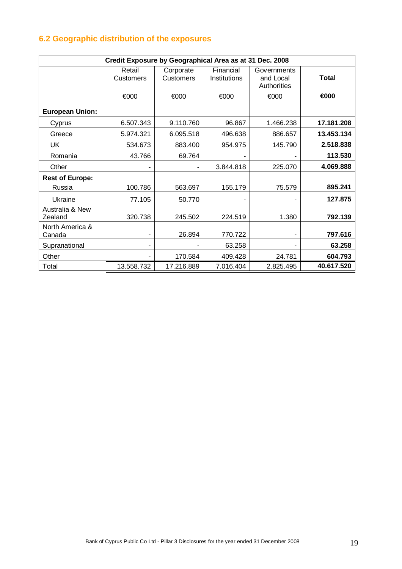## **6.2 Geographic distribution of the exposures**

| Credit Exposure by Geographical Area as at 31 Dec. 2008 |                     |                               |                           |                                         |              |
|---------------------------------------------------------|---------------------|-------------------------------|---------------------------|-----------------------------------------|--------------|
|                                                         | Retail<br>Customers | Corporate<br><b>Customers</b> | Financial<br>Institutions | Governments<br>and Local<br>Authorities | <b>Total</b> |
|                                                         | €000                | €000                          | €000                      | €000                                    | €000         |
| <b>European Union:</b>                                  |                     |                               |                           |                                         |              |
| Cyprus                                                  | 6.507.343           | 9.110.760                     | 96.867                    | 1.466.238                               | 17.181.208   |
| Greece                                                  | 5.974.321           | 6.095.518                     | 496.638                   | 886.657                                 | 13.453.134   |
| UK                                                      | 534.673             | 883.400                       | 954.975                   | 145.790                                 | 2.518.838    |
| Romania                                                 | 43.766              | 69.764                        |                           |                                         | 113.530      |
| Other                                                   |                     |                               | 3.844.818                 | 225.070                                 | 4.069.888    |
| <b>Rest of Europe:</b>                                  |                     |                               |                           |                                         |              |
| Russia                                                  | 100.786             | 563.697                       | 155.179                   | 75.579                                  | 895.241      |
| Ukraine                                                 | 77.105              | 50.770                        |                           |                                         | 127.875      |
| Australia & New<br>Zealand                              | 320.738             | 245.502                       | 224.519                   | 1.380                                   | 792.139      |
| North America &<br>Canada                               | -                   | 26.894                        | 770.722                   |                                         | 797.616      |
| Supranational                                           |                     |                               | 63.258                    |                                         | 63.258       |
| Other                                                   |                     | 170.584                       | 409.428                   | 24.781                                  | 604.793      |
| Total                                                   | 13.558.732          | 17.216.889                    | 7.016.404                 | 2.825.495                               | 40.617.520   |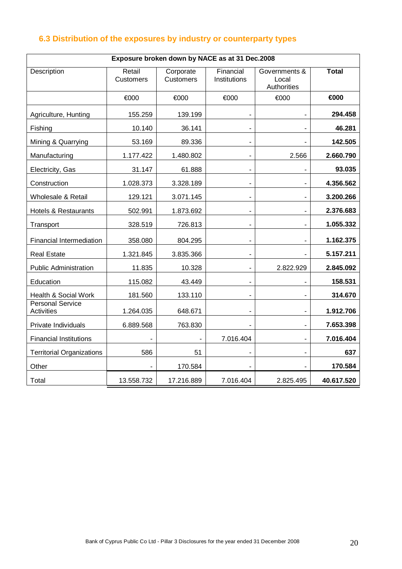## **6.3 Distribution of the exposures by industry or counterparty types**

| Exposure broken down by NACE as at 31 Dec.2008 |                            |                               |                              |                                       |              |
|------------------------------------------------|----------------------------|-------------------------------|------------------------------|---------------------------------------|--------------|
| Description                                    | Retail<br><b>Customers</b> | Corporate<br><b>Customers</b> | Financial<br>Institutions    | Governments &<br>Local<br>Authorities | <b>Total</b> |
|                                                | €000                       | €000                          | €000                         | €000                                  | €000         |
| Agriculture, Hunting                           | 155.259                    | 139.199                       |                              |                                       | 294.458      |
| Fishing                                        | 10.140                     | 36.141                        | $\frac{1}{2}$                |                                       | 46.281       |
| Mining & Quarrying                             | 53.169                     | 89.336                        | $\qquad \qquad \blacksquare$ |                                       | 142.505      |
| Manufacturing                                  | 1.177.422                  | 1.480.802                     | $\overline{\phantom{0}}$     | 2.566                                 | 2.660.790    |
| Electricity, Gas                               | 31.147                     | 61.888                        | $\overline{\phantom{0}}$     |                                       | 93.035       |
| Construction                                   | 1.028.373                  | 3.328.189                     | -                            |                                       | 4.356.562    |
| Wholesale & Retail                             | 129.121                    | 3.071.145                     | $\overline{\phantom{0}}$     |                                       | 3.200.266    |
| <b>Hotels &amp; Restaurants</b>                | 502.991                    | 1.873.692                     | ۰                            | $\overline{\phantom{a}}$              | 2.376.683    |
| Transport                                      | 328.519                    | 726.813                       | $\frac{1}{2}$                | $\blacksquare$                        | 1.055.332    |
| <b>Financial Intermediation</b>                | 358.080                    | 804.295                       | $\overline{\phantom{0}}$     |                                       | 1.162.375    |
| <b>Real Estate</b>                             | 1.321.845                  | 3.835.366                     | $\overline{\phantom{0}}$     |                                       | 5.157.211    |
| <b>Public Administration</b>                   | 11.835                     | 10.328                        |                              | 2.822.929                             | 2.845.092    |
| Education                                      | 115.082                    | 43.449                        | $\overline{\phantom{0}}$     |                                       | 158.531      |
| Health & Social Work                           | 181.560                    | 133.110                       | $\overline{\phantom{0}}$     |                                       | 314.670      |
| <b>Personal Service</b><br><b>Activities</b>   | 1.264.035                  | 648.671                       | $\overline{\phantom{0}}$     |                                       | 1.912.706    |
| Private Individuals                            | 6.889.568                  | 763.830                       |                              |                                       | 7.653.398    |
| <b>Financial Institutions</b>                  |                            |                               | 7.016.404                    |                                       | 7.016.404    |
| <b>Territorial Organizations</b>               | 586                        | 51                            |                              |                                       | 637          |
| Other                                          |                            | 170.584                       |                              |                                       | 170.584      |
| Total                                          | 13.558.732                 | 17.216.889                    | 7.016.404                    | 2.825.495                             | 40.617.520   |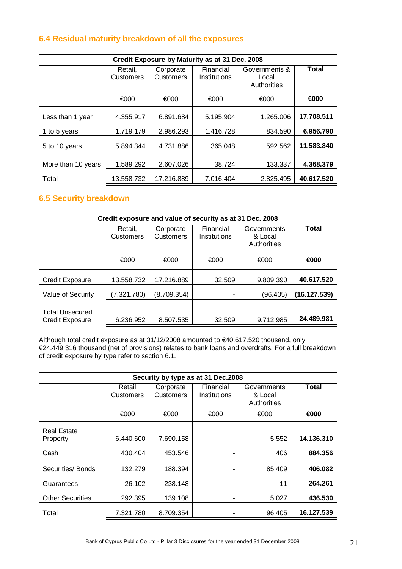## **6.4 Residual maturity breakdown of all the exposures**

| Credit Exposure by Maturity as at 31 Dec. 2008 |                             |                                                     |           |                                       |            |
|------------------------------------------------|-----------------------------|-----------------------------------------------------|-----------|---------------------------------------|------------|
|                                                | Retail.<br><b>Customers</b> | Financial<br>Corporate<br>Customers<br>Institutions |           | Governments &<br>Local<br>Authorities | Total      |
|                                                | €000                        | €000                                                | €000      | €000                                  | €000       |
| Less than 1 year                               | 4.355.917                   | 6.891.684                                           | 5.195.904 | 1.265.006                             | 17.708.511 |
| 1 to 5 years                                   | 1.719.179                   | 2.986.293                                           | 1.416.728 | 834.590                               | 6.956.790  |
| 5 to 10 years                                  | 5.894.344                   | 4.731.886                                           | 365.048   | 592.562                               | 11.583.840 |
| More than 10 years                             | 1.589.292                   | 2.607.026                                           | 38.724    | 133.337                               | 4.368.379  |
| Total                                          | 13.558.732                  | 17.216.889                                          | 7.016.404 | 2.825.495                             | 40.617.520 |

## **6.5 Security breakdown**

| Credit exposure and value of security as at 31 Dec. 2008 |                      |                               |                           |                                       |              |
|----------------------------------------------------------|----------------------|-------------------------------|---------------------------|---------------------------------------|--------------|
|                                                          | Retail,<br>Customers | Corporate<br><b>Customers</b> | Financial<br>Institutions | Governments<br>& Local<br>Authorities | <b>Total</b> |
|                                                          | €000                 | €000                          | €000                      | €000                                  | €000         |
| <b>Credit Exposure</b>                                   | 13.558.732           | 17.216.889                    | 32.509                    | 9.809.390                             | 40.617.520   |
| Value of Security                                        | (7.321.780)          | (8.709.354)                   |                           | (96.405)                              | (16.127.539) |
| <b>Total Unsecured</b><br><b>Credit Exposure</b>         | 6.236.952            | 8.507.535                     | 32.509                    | 9.712.985                             | 24.489.981   |

Although total credit exposure as at 31/12/2008 amounted to €40.617.520 thousand, only €24.449.316 thousand (net of provisions) relates to bank loans and overdrafts. For a full breakdown of credit exposure by type refer to section 6.1.

| Security by type as at 31 Dec.2008 |                     |                        |                           |                                       |              |
|------------------------------------|---------------------|------------------------|---------------------------|---------------------------------------|--------------|
|                                    | Retail<br>Customers | Corporate<br>Customers | Financial<br>Institutions | Governments<br>& Local<br>Authorities | <b>Total</b> |
|                                    | €000                | €000                   | €000                      | €000                                  | €000         |
| <b>Real Estate</b><br>Property     | 6.440.600           | 7.690.158              |                           | 5.552                                 | 14.136.310   |
| Cash                               | 430.404             | 453.546                |                           | 406                                   | 884.356      |
| Securities/ Bonds                  | 132.279             | 188.394                |                           | 85.409                                | 406.082      |
| Guarantees                         | 26.102              | 238.148                |                           | 11                                    | 264.261      |
| <b>Other Securities</b>            | 292.395             | 139.108                | ۰                         | 5.027                                 | 436.530      |
| Total                              | 7.321.780           | 8.709.354              |                           | 96.405                                | 16.127.539   |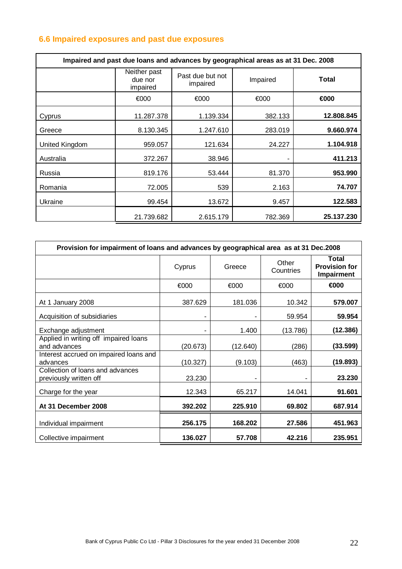## **6.6 Impaired exposures and past due exposures**

| Impaired and past due loans and advances by geographical areas as at 31 Dec. 2008 |                                     |                              |          |              |  |
|-----------------------------------------------------------------------------------|-------------------------------------|------------------------------|----------|--------------|--|
|                                                                                   | Neither past<br>due nor<br>impaired | Past due but not<br>impaired | Impaired | <b>Total</b> |  |
|                                                                                   | €000                                | €000                         | €000     | €000         |  |
| Cyprus                                                                            | 11.287.378                          | 1.139.334                    | 382.133  | 12.808.845   |  |
| Greece                                                                            | 8.130.345                           | 1.247.610                    | 283.019  | 9.660.974    |  |
| United Kingdom                                                                    | 959.057                             | 121.634                      | 24.227   | 1.104.918    |  |
| Australia                                                                         | 372.267                             | 38.946                       |          | 411.213      |  |
| Russia                                                                            | 819.176                             | 53.444                       | 81.370   | 953.990      |  |
| Romania                                                                           | 72.005                              | 539                          | 2.163    | 74.707       |  |
| Ukraine                                                                           | 99.454                              | 13.672                       | 9.457    | 122.583      |  |
|                                                                                   | 21.739.682                          | 2.615.179                    | 782.369  | 25.137.230   |  |

| Provision for impairment of loans and advances by geographical area as at 31 Dec.2008 |          |          |                    |                                             |
|---------------------------------------------------------------------------------------|----------|----------|--------------------|---------------------------------------------|
|                                                                                       | Cyprus   | Greece   | Other<br>Countries | Total<br><b>Provision for</b><br>Impairment |
|                                                                                       | €000     | €000     | €000               | €000                                        |
| At 1 January 2008                                                                     | 387.629  | 181.036  | 10.342             | 579.007                                     |
| Acquisition of subsidiaries                                                           |          |          | 59.954             | 59.954                                      |
| Exchange adjustment                                                                   |          | 1.400    | (13.786)           | (12.386)                                    |
| Applied in writing off impaired loans<br>and advances                                 | (20.673) | (12.640) | (286)              | (33.599)                                    |
| Interest accrued on impaired loans and<br>advances                                    | (10.327) | (9.103)  | (463)              | (19.893)                                    |
| Collection of loans and advances<br>previously written off                            | 23.230   | ۰        |                    | 23.230                                      |
| Charge for the year                                                                   | 12.343   | 65.217   | 14.041             | 91.601                                      |
| At 31 December 2008                                                                   | 392.202  | 225.910  | 69.802             | 687.914                                     |
| Individual impairment                                                                 | 256.175  | 168.202  | 27.586             | 451.963                                     |
| Collective impairment                                                                 | 136.027  | 57.708   | 42.216             | 235.951                                     |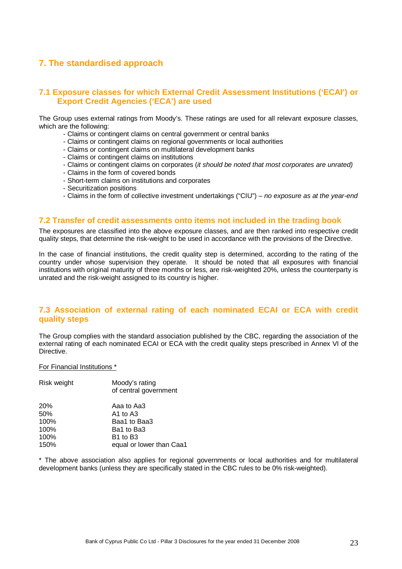## **7. The standardised approach**

## **7.1 Exposure classes for which External Credit Assessment Institutions ('ECAI') or Export Credit Agencies ('ECA') are used**

The Group uses external ratings from Moody's. These ratings are used for all relevant exposure classes, which are the following:

- Claims or contingent claims on central government or central banks
- Claims or contingent claims on regional governments or local authorities
- Claims or contingent claims on multilateral development banks
- Claims or contingent claims on institutions
- Claims or contingent claims on corporates (it should be noted that most corporates are unrated)
- Claims in the form of covered bonds
- Short-term claims on institutions and corporates
- Securitization positions
- Claims in the form of collective investment undertakings ("CIU") no exposure as at the year-end

## **7.2 Transfer of credit assessments onto items not included in the trading book**

The exposures are classified into the above exposure classes, and are then ranked into respective credit quality steps, that determine the risk-weight to be used in accordance with the provisions of the Directive.

In the case of financial institutions, the credit quality step is determined, according to the rating of the country under whose supervision they operate. It should be noted that all exposures with financial institutions with original maturity of three months or less, are risk-weighted 20%, unless the counterparty is unrated and the risk-weight assigned to its country is higher.

## **7.3 Association of external rating of each nominated ECAI or ECA with credit quality steps**

The Group complies with the standard association published by the CBC, regarding the association of the external rating of each nominated ECAI or ECA with the credit quality steps prescribed in Annex VI of the Directive.

For Financial Institutions \*

| Risk weight | Moody's rating<br>of central government |
|-------------|-----------------------------------------|
| 20%         | Aaa to Aa3                              |
| 50%         | A1 to A3                                |
| 100%        | Baa1 to Baa3                            |
| 100%        | Ba1 to Ba3                              |
| 100%        | B <sub>1</sub> to B <sub>3</sub>        |
| 150%        | equal or lower than Caa1                |

\* The above association also applies for regional governments or local authorities and for multilateral development banks (unless they are specifically stated in the CBC rules to be 0% risk-weighted).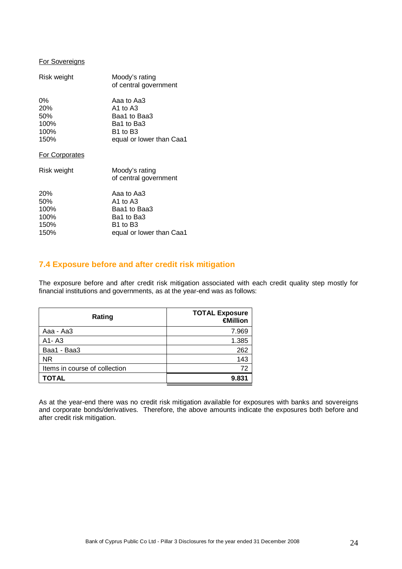#### For Sovereigns

| Risk weight                                        | Moody's rating<br>of central government                                                                              |
|----------------------------------------------------|----------------------------------------------------------------------------------------------------------------------|
| $0\%$<br><b>20%</b><br>50%<br>100%<br>100%<br>150% | Aaa to Aa3<br>A1 to A3<br>Baa1 to Baa3<br>Ba1 to Ba3<br>B <sub>1</sub> to B <sub>3</sub><br>equal or lower than Caa1 |
| For Corporates                                     |                                                                                                                      |
| Risk weight                                        | Moody's rating<br>of central government                                                                              |
| <b>20%</b><br>50%<br>100%<br>100%<br>150%<br>150%  | Aaa to Aa3<br>A1 to A3<br>Baa1 to Baa3<br>Ba1 to Ba3<br>B1 to B3<br>equal or lower than Caa1                         |

## **7.4 Exposure before and after credit risk mitigation**

The exposure before and after credit risk mitigation associated with each credit quality step mostly for financial institutions and governments, as at the year-end was as follows:

| Rating                        | <b>TOTAL Exposure</b><br>€Million |
|-------------------------------|-----------------------------------|
| Aaa - Aa3                     | 7.969                             |
| A1-A3                         | 1.385                             |
| Baa1 - Baa3                   | 262                               |
| NR.                           | 143                               |
| Items in course of collection | 72                                |
| <b>TOTAL</b>                  | 9.831                             |

As at the year-end there was no credit risk mitigation available for exposures with banks and sovereigns and corporate bonds/derivatives. Therefore, the above amounts indicate the exposures both before and after credit risk mitigation.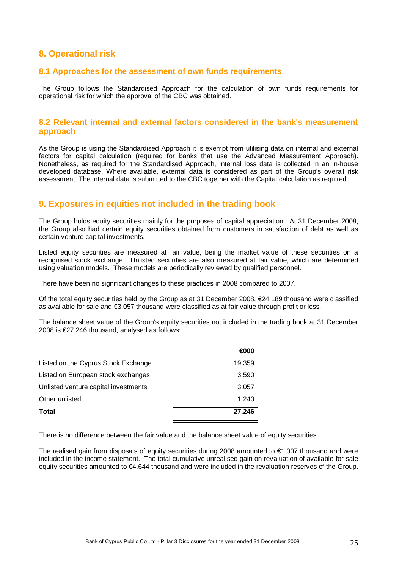## **8. Operational risk**

#### **8.1 Approaches for the assessment of own funds requirements**

The Group follows the Standardised Approach for the calculation of own funds requirements for operational risk for which the approval of the CBC was obtained.

## **8.2 Relevant internal and external factors considered in the bank's measurement approach**

As the Group is using the Standardised Approach it is exempt from utilising data on internal and external factors for capital calculation (required for banks that use the Advanced Measurement Approach). Nonetheless, as required for the Standardised Approach, internal loss data is collected in an in-house developed database. Where available, external data is considered as part of the Group's overall risk assessment. The internal data is submitted to the CBC together with the Capital calculation as required.

## **9. Exposures in equities not included in the trading book**

The Group holds equity securities mainly for the purposes of capital appreciation. At 31 December 2008, the Group also had certain equity securities obtained from customers in satisfaction of debt as well as certain venture capital investments.

Listed equity securities are measured at fair value, being the market value of these securities on a recognised stock exchange. Unlisted securities are also measured at fair value, which are determined using valuation models. These models are periodically reviewed by qualified personnel.

There have been no significant changes to these practices in 2008 compared to 2007.

Of the total equity securities held by the Group as at 31 December 2008, €24.189 thousand were classified as available for sale and €3.057 thousand were classified as at fair value through profit or loss.

The balance sheet value of the Group's equity securities not included in the trading book at 31 December 2008 is €27.246 thousand, analysed as follows:

|                                      | €000   |
|--------------------------------------|--------|
| Listed on the Cyprus Stock Exchange  | 19.359 |
| Listed on European stock exchanges   | 3.590  |
| Unlisted venture capital investments | 3.057  |
| Other unlisted                       | 1.240  |
| Total                                | 27.246 |

There is no difference between the fair value and the balance sheet value of equity securities.

The realised gain from disposals of equity securities during 2008 amounted to €1.007 thousand and were included in the income statement. The total cumulative unrealised gain on revaluation of available-for-sale equity securities amounted to €4.644 thousand and were included in the revaluation reserves of the Group.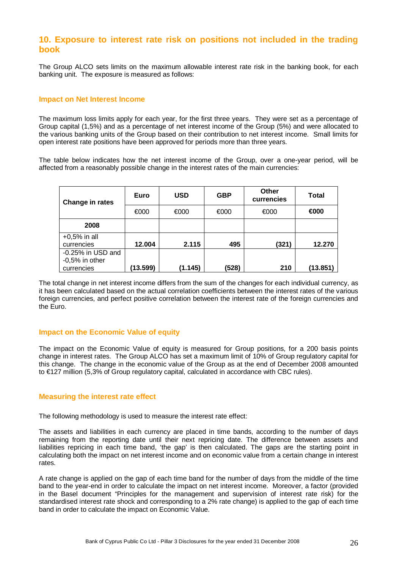## **10. Exposure to interest rate risk on positions not included in the trading book**

The Group ALCO sets limits on the maximum allowable interest rate risk in the banking book, for each banking unit. The exposure is measured as follows:

#### **Impact on Net Interest Income**

The maximum loss limits apply for each year, for the first three years. They were set as a percentage of Group capital (1,5%) and as a percentage of net interest income of the Group (5%) and were allocated to the various banking units of the Group based on their contribution to net interest income. Small limits for open interest rate positions have been approved for periods more than three years.

The table below indicates how the net interest income of the Group, over a one-year period, will be affected from a reasonably possible change in the interest rates of the main currencies:

| Change in rates   | Euro     | <b>USD</b> | <b>GBP</b> | Other<br>currencies | <b>Total</b> |
|-------------------|----------|------------|------------|---------------------|--------------|
|                   | €000     | €000       | €000       | €000                | €000         |
| 2008              |          |            |            |                     |              |
| $+0.5%$ in all    |          |            |            |                     |              |
| currencies        | 12.004   | 2.115      | 495        | (321)               | 12.270       |
| -0.25% in USD and |          |            |            |                     |              |
| $-0,5%$ in other  |          |            |            |                     |              |
| currencies        | (13.599) | (1.145)    | (528)      | 210                 | (13.851)     |

The total change in net interest income differs from the sum of the changes for each individual currency, as it has been calculated based on the actual correlation coefficients between the interest rates of the various foreign currencies, and perfect positive correlation between the interest rate of the foreign currencies and the Euro.

#### **Impact on the Economic Value of equity**

The impact on the Economic Value of equity is measured for Group positions, for a 200 basis points change in interest rates. The Group ALCO has set a maximum limit of 10% of Group regulatory capital for this change. The change in the economic value of the Group as at the end of December 2008 amounted to €127 million (5,3% of Group regulatory capital, calculated in accordance with CBC rules).

#### **Measuring the interest rate effect**

The following methodology is used to measure the interest rate effect:

The assets and liabilities in each currency are placed in time bands, according to the number of days remaining from the reporting date until their next repricing date. The difference between assets and liabilities repricing in each time band, 'the gap' is then calculated. The gaps are the starting point in calculating both the impact on net interest income and on economic value from a certain change in interest rates.

A rate change is applied on the gap of each time band for the number of days from the middle of the time band to the year-end in order to calculate the impact on net interest income. Moreover, a factor (provided in the Basel document "Principles for the management and supervision of interest rate risk) for the standardised interest rate shock and corresponding to a 2% rate change) is applied to the gap of each time band in order to calculate the impact on Economic Value.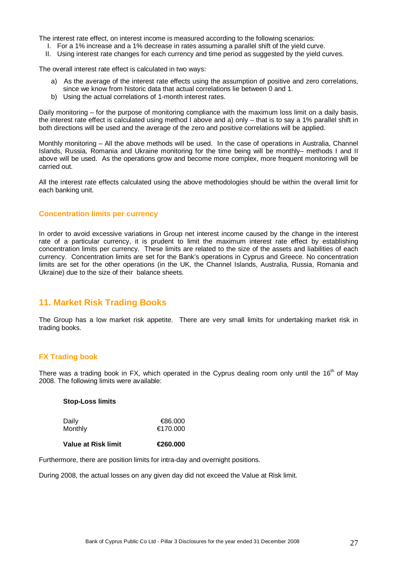The interest rate effect, on interest income is measured according to the following scenarios:

- I. For a 1% increase and a 1% decrease in rates assuming a parallel shift of the yield curve.
- II. Using interest rate changes for each currency and time period as suggested by the yield curves.

The overall interest rate effect is calculated in two ways:

- a) As the average of the interest rate effects using the assumption of positive and zero correlations, since we know from historic data that actual correlations lie between 0 and 1.
- b) Using the actual correlations of 1-month interest rates.

Daily monitoring – for the purpose of monitoring compliance with the maximum loss limit on a daily basis, the interest rate effect is calculated using method I above and a) only – that is to say a 1% parallel shift in both directions will be used and the average of the zero and positive correlations will be applied.

Monthly monitoring – All the above methods will be used. In the case of operations in Australia, Channel Islands, Russia, Romania and Ukraine monitoring for the time being will be monthly– methods I and II above will be used. As the operations grow and become more complex, more frequent monitoring will be carried out.

All the interest rate effects calculated using the above methodologies should be within the overall limit for each banking unit.

#### **Concentration limits per currency**

In order to avoid excessive variations in Group net interest income caused by the change in the interest rate of a particular currency, it is prudent to limit the maximum interest rate effect by establishing concentration limits per currency. These limits are related to the size of the assets and liabilities of each currency. Concentration limits are set for the Bank's operations in Cyprus and Greece. No concentration limits are set for the other operations (in the UK, the Channel Islands, Australia, Russia, Romania and Ukraine) due to the size of their balance sheets.

## **11. Market Risk Trading Books**

The Group has a low market risk appetite. There are very small limits for undertaking market risk in trading books.

#### **FX Trading book**

There was a trading book in FX, which operated in the Cyprus dealing room only until the  $16<sup>th</sup>$  of May 2008. The following limits were available:

#### **Stop-Loss limits**

| Daily   | €86.000  |
|---------|----------|
| Monthly | €170.000 |
|         |          |

**Value at Risk limit €260.000** 

Furthermore, there are position limits for intra-day and overnight positions.

During 2008, the actual losses οn any given day did not exceed the Value at Risk limit.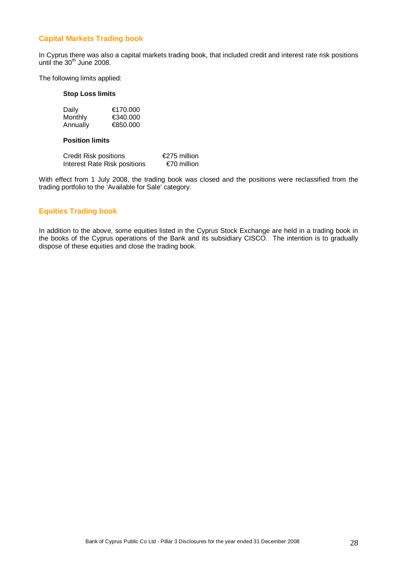## **Capital Markets Trading book**

In Cyprus there was also a capital markets trading book, that included credit and interest rate risk positions until the 30<sup>th</sup> June 2008.

The following limits applied:

#### **Stop Loss limits**

| Daily    | €170.000 |
|----------|----------|
| Monthly  | €340.000 |
| Annually | €850.000 |

#### **Position limits**

| Credit Risk positions        | €275 million |
|------------------------------|--------------|
| Interest Rate Risk positions | €70 million  |

With effect from 1 July 2008, the trading book was closed and the positions were reclassified from the trading portfolio to the 'Available for Sale' category.

## **Equities Trading book**

In addition to the above, some equities listed in the Cyprus Stock Exchange are held in a trading book in the books of the Cyprus operations of the Bank and its subsidiary CISCO. The intention is to gradually dispose of these equities and close the trading book.